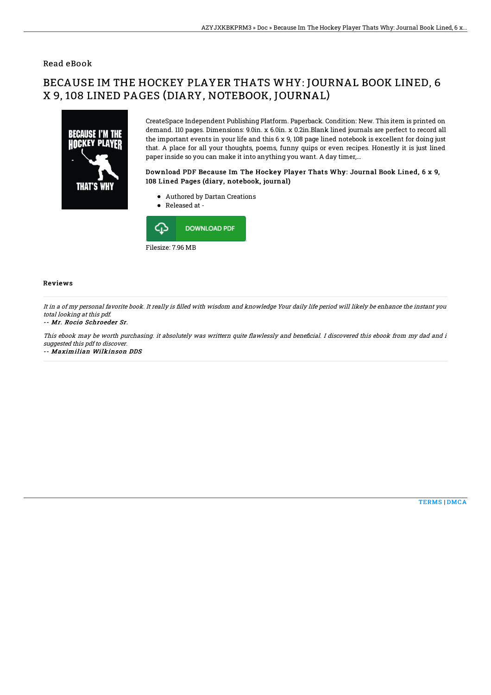## Read eBook

# BECAUSE IM THE HOCKEY PLAYER THATS WHY: JOURNAL BOOK LINED, 6 X 9, 108 LINED PAGES (DIARY, NOTEBOOK, JOURNAL)



CreateSpace Independent Publishing Platform. Paperback. Condition: New. This item is printed on demand. 110 pages. Dimensions: 9.0in. x 6.0in. x 0.2in.Blank lined journals are perfect to record all the important events in your life and this 6 x 9, 108 page lined notebook is excellent for doing just that. A place for all your thoughts, poems, funny quips or even recipes. Honestly it is just lined paper inside so you can make it into anything you want. A day timer,...

### Download PDF Because Im The Hockey Player Thats Why: Journal Book Lined, 6 x 9, 108 Lined Pages (diary, notebook, journal)

- Authored by Dartan Creations
- Released at -



#### Reviews

It in a of my personal favorite book. It really is filled with wisdom and knowledge Your daily life period will likely be enhance the instant you total looking at this pdf.

#### -- Mr. Rocio Schroeder Sr.

This ebook may be worth purchasing. it absolutely was writtern quite flawlessly and beneficial. I discovered this ebook from my dad and i suggested this pdf to discover.

-- Maximilian Wilkinson DDS